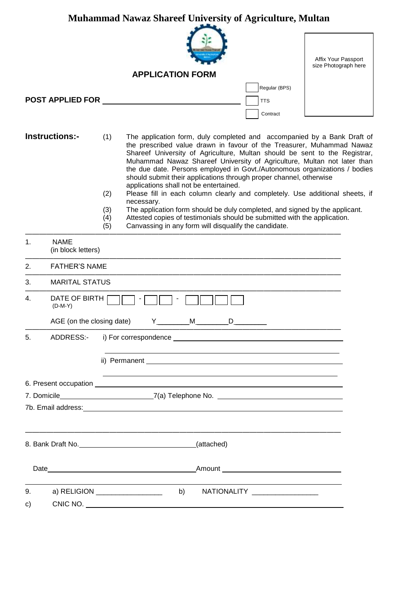|          |                                   | <b>Muhammad Nawaz Shareef University of Agriculture, Multan</b>                                                                                                                                                                                                                                                                                                                                                                                                                                                                                                                                                                                                                                                                                                                                                                                              |                                             |
|----------|-----------------------------------|--------------------------------------------------------------------------------------------------------------------------------------------------------------------------------------------------------------------------------------------------------------------------------------------------------------------------------------------------------------------------------------------------------------------------------------------------------------------------------------------------------------------------------------------------------------------------------------------------------------------------------------------------------------------------------------------------------------------------------------------------------------------------------------------------------------------------------------------------------------|---------------------------------------------|
|          |                                   |                                                                                                                                                                                                                                                                                                                                                                                                                                                                                                                                                                                                                                                                                                                                                                                                                                                              | Affix Your Passport<br>size Photograph here |
|          |                                   | <b>APPLICATION FORM</b>                                                                                                                                                                                                                                                                                                                                                                                                                                                                                                                                                                                                                                                                                                                                                                                                                                      |                                             |
|          | <b>POST APPLIED FOR</b>           | Regular (BPS)<br><b>TTS</b>                                                                                                                                                                                                                                                                                                                                                                                                                                                                                                                                                                                                                                                                                                                                                                                                                                  |                                             |
|          |                                   | Contract                                                                                                                                                                                                                                                                                                                                                                                                                                                                                                                                                                                                                                                                                                                                                                                                                                                     |                                             |
|          | <b>Instructions:-</b>             | (1)<br>The application form, duly completed and accompanied by a Bank Draft of<br>the prescribed value drawn in favour of the Treasurer, Muhammad Nawaz<br>Shareef University of Agriculture, Multan should be sent to the Registrar,<br>Muhammad Nawaz Shareef University of Agriculture, Multan not later than<br>the due date. Persons employed in Govt./Autonomous organizations / bodies<br>should submit their applications through proper channel, otherwise<br>applications shall not be entertained.<br>Please fill in each column clearly and completely. Use additional sheets, if<br>(2)<br>necessary.<br>The application form should be duly completed, and signed by the applicant.<br>(3)<br>Attested copies of testimonials should be submitted with the application.<br>(4)<br>Canvassing in any form will disqualify the candidate.<br>(5) |                                             |
| 1.       | <b>NAME</b><br>(in block letters) |                                                                                                                                                                                                                                                                                                                                                                                                                                                                                                                                                                                                                                                                                                                                                                                                                                                              |                                             |
| 2.       | <b>FATHER'S NAME</b>              |                                                                                                                                                                                                                                                                                                                                                                                                                                                                                                                                                                                                                                                                                                                                                                                                                                                              |                                             |
| 3.       | <b>MARITAL STATUS</b>             |                                                                                                                                                                                                                                                                                                                                                                                                                                                                                                                                                                                                                                                                                                                                                                                                                                                              |                                             |
| 4.       | DATE OF BIRTH<br>$(D-M-Y)$        |                                                                                                                                                                                                                                                                                                                                                                                                                                                                                                                                                                                                                                                                                                                                                                                                                                                              |                                             |
|          | AGE (on the closing date)         | Y<br>M<br>D                                                                                                                                                                                                                                                                                                                                                                                                                                                                                                                                                                                                                                                                                                                                                                                                                                                  |                                             |
| 5.       | ADDRESS:-                         |                                                                                                                                                                                                                                                                                                                                                                                                                                                                                                                                                                                                                                                                                                                                                                                                                                                              |                                             |
|          |                                   |                                                                                                                                                                                                                                                                                                                                                                                                                                                                                                                                                                                                                                                                                                                                                                                                                                                              |                                             |
|          |                                   |                                                                                                                                                                                                                                                                                                                                                                                                                                                                                                                                                                                                                                                                                                                                                                                                                                                              |                                             |
|          |                                   | 7. Domicile_____________________________7(a) Telephone No. ______________________                                                                                                                                                                                                                                                                                                                                                                                                                                                                                                                                                                                                                                                                                                                                                                            |                                             |
|          |                                   | 7b. Email address: <u>and a compare and a control of the set of the set of the set of the set of the set of the set of the set of the set of the set of the set of the set of the set of the set of the set of the set of the se</u>                                                                                                                                                                                                                                                                                                                                                                                                                                                                                                                                                                                                                         |                                             |
|          |                                   | (attached)                                                                                                                                                                                                                                                                                                                                                                                                                                                                                                                                                                                                                                                                                                                                                                                                                                                   |                                             |
|          |                                   |                                                                                                                                                                                                                                                                                                                                                                                                                                                                                                                                                                                                                                                                                                                                                                                                                                                              |                                             |
| 9.<br>C) |                                   | b)<br>NATIONALITY ___________________<br>a) RELIGION __________________                                                                                                                                                                                                                                                                                                                                                                                                                                                                                                                                                                                                                                                                                                                                                                                      |                                             |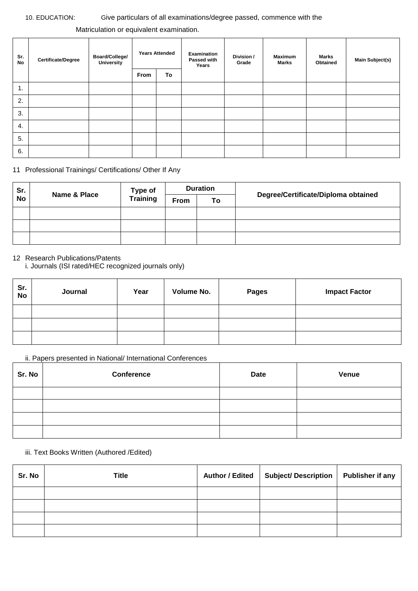### 10. EDUCATION: Give particulars of all examinations/degree passed, commence with the

## Matriculation or equivalent examination.

| Sr.<br>No | <b>Certificate/Degree</b> | Board/College/<br>University | <b>Years Attended</b> |    | Examination<br>Passed with<br>Years | Division /<br>Grade | <b>Maximum</b><br><b>Marks</b> | <b>Marks</b><br>Obtained | <b>Main Subject(s)</b> |
|-----------|---------------------------|------------------------------|-----------------------|----|-------------------------------------|---------------------|--------------------------------|--------------------------|------------------------|
|           |                           |                              | From                  | To |                                     |                     |                                |                          |                        |
| 1.        |                           |                              |                       |    |                                     |                     |                                |                          |                        |
| 2.        |                           |                              |                       |    |                                     |                     |                                |                          |                        |
| 3.        |                           |                              |                       |    |                                     |                     |                                |                          |                        |
| 4.        |                           |                              |                       |    |                                     |                     |                                |                          |                        |
| 5.        |                           |                              |                       |    |                                     |                     |                                |                          |                        |
| 6.        |                           |                              |                       |    |                                     |                     |                                |                          |                        |

11 Professional Trainings/ Certifications/ Other If Any

| Sr.       | Name & Place | Type of                       | <b>Duration</b> |  | Degree/Certificate/Diploma obtained |
|-----------|--------------|-------------------------------|-----------------|--|-------------------------------------|
| <b>No</b> |              | <b>Training</b><br>From<br>To |                 |  |                                     |
|           |              |                               |                 |  |                                     |
|           |              |                               |                 |  |                                     |
|           |              |                               |                 |  |                                     |

# 12 Research Publications/Patents

i. Journals (ISI rated/HEC recognized journals only)

| Sr.<br><b>No</b> | Journal | Year | Volume No. | <b>Pages</b> | <b>Impact Factor</b> |
|------------------|---------|------|------------|--------------|----------------------|
|                  |         |      |            |              |                      |
|                  |         |      |            |              |                      |
|                  |         |      |            |              |                      |

# ii. Papers presented in National/ International Conferences

| Sr. No | <b>Conference</b> | <b>Date</b> | Venue |
|--------|-------------------|-------------|-------|
|        |                   |             |       |
|        |                   |             |       |
|        |                   |             |       |
|        |                   |             |       |

iii. Text Books Written (Authored /Edited)

| Sr. No | <b>Title</b> | Author / Edited   Subject/ Description   Publisher if any |  |
|--------|--------------|-----------------------------------------------------------|--|
|        |              |                                                           |  |
|        |              |                                                           |  |
|        |              |                                                           |  |
|        |              |                                                           |  |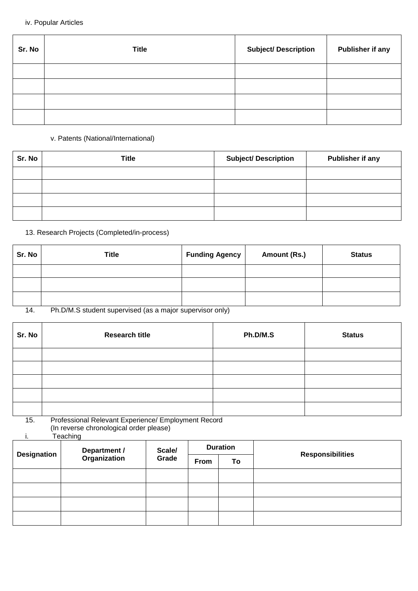iv. Popular Articles

| Sr. No | <b>Title</b> | <b>Subject/ Description</b> | <b>Publisher if any</b> |
|--------|--------------|-----------------------------|-------------------------|
|        |              |                             |                         |
|        |              |                             |                         |
|        |              |                             |                         |
|        |              |                             |                         |

## v. Patents (National/International)

| Sr. No | <b>Title</b> | <b>Subject/ Description</b> | Publisher if any |
|--------|--------------|-----------------------------|------------------|
|        |              |                             |                  |
|        |              |                             |                  |
|        |              |                             |                  |
|        |              |                             |                  |

# 13. Research Projects (Completed/in-process)

| Sr. No         | Title                                                                                                                                                                                                                                                         | <b>Funding Agency</b> | Amount (Rs.) | <b>Status</b> |
|----------------|---------------------------------------------------------------------------------------------------------------------------------------------------------------------------------------------------------------------------------------------------------------|-----------------------|--------------|---------------|
|                |                                                                                                                                                                                                                                                               |                       |              |               |
|                |                                                                                                                                                                                                                                                               |                       |              |               |
|                |                                                                                                                                                                                                                                                               |                       |              |               |
| $\overline{A}$ | $D_1$ , $D_2$ , $D_3$ , $D_4$ , $D_5$ , $D_6$ , $D_7$ , $D_8$ , $D_7$ , $D_8$ , $D_9$ , $D_9$ , $D_9$ , $D_9$ , $D_9$ , $D_9$ , $D_9$ , $D_9$ , $D_9$ , $D_9$ , $D_9$ , $D_9$ , $D_9$ , $D_9$ , $D_9$ , $D_9$ , $D_9$ , $D_9$ , $D_9$ , $D_9$ , $D_9$ , $D_9$ |                       |              |               |

14. Ph.D/M.S student supervised (as a major supervisor only)

| Sr. No | <b>Research title</b> | Ph.D/M.S | <b>Status</b> |
|--------|-----------------------|----------|---------------|
|        |                       |          |               |
|        |                       |          |               |
|        |                       |          |               |
|        |                       |          |               |
|        |                       |          |               |

15. Professional Relevant Experience/ Employment Record (In reverse chronological order please)

i. Teaching

|                    | <b>Department /<br/>Organization</b> | Scale/<br>Grade | <b>Duration</b> |    |                         |
|--------------------|--------------------------------------|-----------------|-----------------|----|-------------------------|
| <b>Designation</b> |                                      |                 | From            | To | <b>Responsibilities</b> |
|                    |                                      |                 |                 |    |                         |
|                    |                                      |                 |                 |    |                         |
|                    |                                      |                 |                 |    |                         |
|                    |                                      |                 |                 |    |                         |